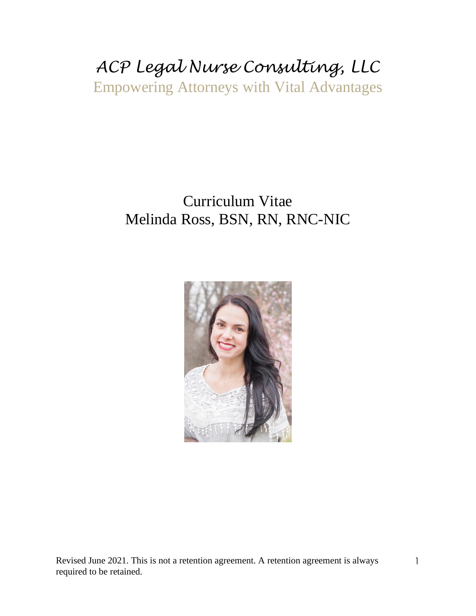# *ACP Legal Nurse Consulting, LLC* Empowering Attorneys with Vital Advantages

### Curriculum Vitae Melinda Ross, BSN, RN, RNC-NIC



Revised June 2021. This is not a retention agreement. A retention agreement is always required to be retained.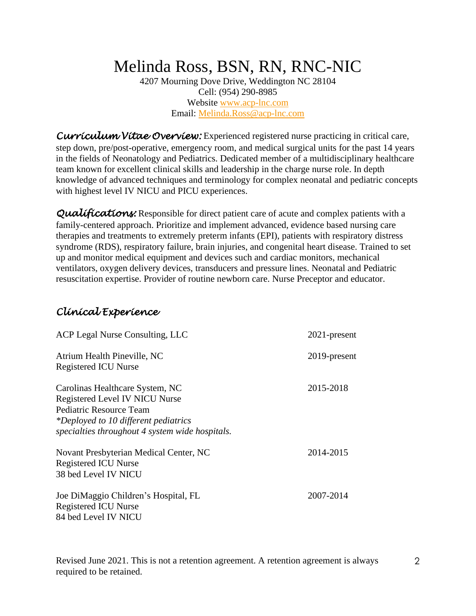## Melinda Ross, BSN, RN, RNC-NIC

4207 Mourning Dove Drive, Weddington NC 28104 Cell: (954) 290-8985 Website [www.acp-lnc.com](http://www.acp-lnc.com/) Email: [Melinda.Ross@acp-lnc.com](mailto:Melinda.Ross@acp-lnc.com)

*Curriculum Vitae Overview:* Experienced registered nurse practicing in critical care, step down, pre/post-operative, emergency room, and medical surgical units for the past 14 years in the fields of Neonatology and Pediatrics. Dedicated member of a multidisciplinary healthcare team known for excellent clinical skills and leadership in the charge nurse role. In depth knowledge of advanced techniques and terminology for complex neonatal and pediatric concepts with highest level IV NICU and PICU experiences.

**Qualifications:** Responsible for direct patient care of acute and complex patients with a family-centered approach. Prioritize and implement advanced, evidence based nursing care therapies and treatments to extremely preterm infants (EPI), patients with respiratory distress syndrome (RDS), respiratory failure, brain injuries, and congenital heart disease. Trained to set up and monitor medical equipment and devices such and cardiac monitors, mechanical ventilators, oxygen delivery devices, transducers and pressure lines. Neonatal and Pediatric resuscitation expertise. Provider of routine newborn care. Nurse Preceptor and educator.

#### *Clinical Experience*

| ACP Legal Nurse Consulting, LLC                 | 2021-present |
|-------------------------------------------------|--------------|
| Atrium Health Pineville, NC                     | 2019-present |
| <b>Registered ICU Nurse</b>                     |              |
| Carolinas Healthcare System, NC                 | 2015-2018    |
| Registered Level IV NICU Nurse                  |              |
| Pediatric Resource Team                         |              |
| *Deployed to 10 different pediatrics            |              |
| specialties throughout 4 system wide hospitals. |              |
| Novant Presbyterian Medical Center, NC          | 2014-2015    |
| Registered ICU Nurse                            |              |
| 38 bed Level IV NICU                            |              |
| Joe DiMaggio Children's Hospital, FL            | 2007-2014    |
| <b>Registered ICU Nurse</b>                     |              |
| 84 bed Level IV NICU                            |              |
|                                                 |              |

Revised June 2021. This is not a retention agreement. A retention agreement is always required to be retained.